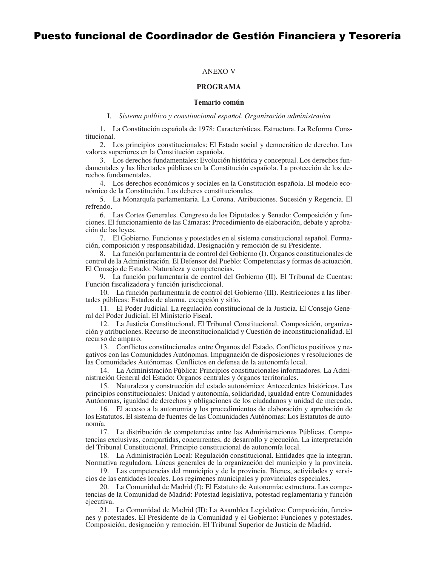# Puesto funcional de Coordinador de Gestión Financiera y Tesorería

## **ANEXO V**

# PROGRAMA

## Temario común

I. Sistema político y constitucional español. Organización administrativa

1. La Constitución española de 1978: Características. Estructura. La Reforma Constitucional.

2. Los principios constitucionales: El Estado social y democrático de derecho. Los valores superiores en la Constitución española.

3. Los derechos fundamentales: Evolución histórica y conceptual. Los derechos fundamentales y las libertades públicas en la Constitución española. La protección de los derechos fundamentales.

4. Los derechos económicos y sociales en la Constitución española. El modelo económico de la Constitución. Los deberes constitucionales.

5. La Monarquía parlamentaria. La Corona. Atribuciones. Sucesión y Regencia. El refrendo.

6. Las Cortes Generales. Congreso de los Diputados y Senado: Composición y fun- $C$  eciones. El funcionamiento de las Cámaras: Procedimiento de elaboración, debate y aprobación de las leyes.

7. El Gobierno. Funciones y potestades en el sistema constitucional español. Forma- $\tilde{C}$ ción, composición y responsabilidad. Designación y remoción de su Presidente.

8. La función parlamentaria de control del Gobierno (I). Órganos constitucionales de control de la Administración. El Defensor del Pueblo: Competencias y formas de actuación. El Consejo de Estado: Naturaleza y competencias.

9. La función parlamentaria de control del Gobierno (II). El Tribunal de Cuentas: Función fiscalizadora y función jurisdiccional.

10. La función parlamentaria de control del Gobierno (III). Restricciones a las libertades públicas: Estados de alarma, excepción y sitio.

11. El Poder Judicial. La regulación constitucional de la Justicia. El Consejo General del Poder Judicial. El Ministerio Fiscal.

12. La Justicia Constitucional. El Tribunal Constitucional. Composición, organización y atribuciones. Recurso de inconstitucionalidad y Cuestión de inconstitucionalidad. El recurso de amparo.

13. Conflictos constitucionales entre Órganos del Estado. Conflictos positivos y negativos con las Comunidades Autónomas. Impugnación de disposiciones y resoluciones de las Comunidades Autónomas. Conflictos en defensa de la autonomía local.

14. La Administración Pública: Principios constitucionales informadores. La Administración General del Estado: Órganos centrales y órganos territoriales.

15. Naturaleza y construcción del estado autonómico: Antecedentes históricos. Los principios constitucionales: Unidad y autonomía, solidaridad, igualdad entre Comunidades Autónomas, igualdad de derechos y obligaciones de los ciudadanos y unidad de mercado.

16. El acceso a la autonomía y los procedimientos de elaboración y aprobación de los Estatutos. El sistema de fuentes de las Comunidades Autónomas: Los Estatutos de autonomía.

17. La distribución de competencias entre las Administraciones Públicas. Competencias exclusivas, compartidas, concurrentes, de desarrollo y ejecución. La interpretación del Tribunal Constitucional. Principio constitucional de autonomía local.

18. La Administración Local: Regulación constitucional. Entidades que la integran. Normativa reguladora. Líneas generales de la organización del municipio y la provincia.

19. Las competencias del municipio y de la provincia. Bienes, actividades y servi- $\overline{\text{c}}$  dios de las entidades locales. Los regímenes municipales y provinciales especiales.

20. La Comunidad de Madrid (I): El Estatuto de Autonomía: estructura. Las competencias de la Comunidad de Madrid: Potestad legislativa, potestad reglamentaria y función e jecutiva.

21. La Comunidad de Madrid (II): La Asamblea Legislativa: Composición, funciones y potestades. El Presidente de la Comunidad y el Gobierno: Funciones y potestades. Composición, designación y remoción. El Tribunal Superior de Justicia de Madrid.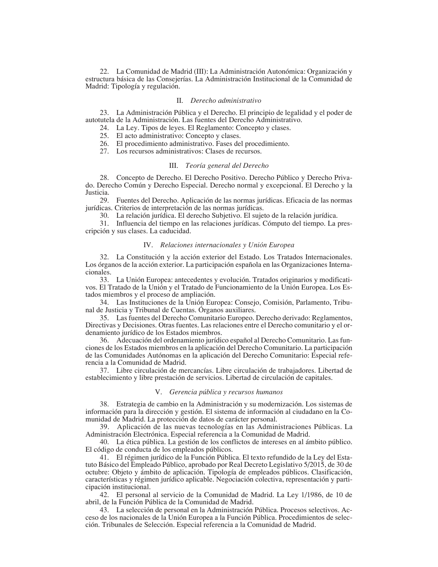22. La Comunidad de Madrid (III): La Administración Autonómica: Organización y estructura básica de las Consejerías. La Administración Institucional de la Comunidad de Madrid: Tipología y regulación.

#### II. Derecho administrativo

23. La Administración Pública y el Derecho. El principio de legalidad y el poder de autotutela de la Administración. Las fuentes del Derecho Administrativo.

24. La Ley. Tipos de leyes. El Reglamento: Concepto y clases.

25. El acto administrativo: Concepto y clases.

26. El procedimiento administrativo. Fases del procedimiento.

27. Los recursos administrativos: Clases de recursos.

## III. Teoría general del Derecho

28. Concepto de Derecho. El Derecho Positivo. Derecho Público y Derecho Privado. Derecho Común y Derecho Especial. Derecho normal y excepcional. El Derecho y la Justicia.

29. Fuentes del Derecho. Aplicación de las normas jurídicas. Eficacia de las normas jurídicas. Criterios de interpretación de las normas jurídicas.

30. La relación jurídica. El derecho Subjetivo. El sujeto de la relación jurídica.

31. Influencia del tiempo en las relaciones jurídicas. Cómputo del tiempo. La prescripción y sus clases. La caducidad.

### IV. Relaciones internacionales y Unión Europea

32. La Constitución y la acción exterior del Estado. Los Tratados Internacionales. Los órganos de la acción exterior. La participación española en las Organizaciones Internacionales.

33. La Unión Europea: antecedentes y evolución. Tratados originarios y modificativos. El Tratado de la Unión y el Tratado de Funcionamiento de la Unión Europea. Los Estados miembros y el proceso de ampliación.

34. Las Instituciones de la Unión Europea: Consejo, Comisión, Parlamento, Tribunal de Justicia y Tribunal de Cuentas. Órganos auxiliares.

35. Las fuentes del Derecho Comunitario Europeo. Derecho derivado: Reglamentos, Directivas y Decisiones. Otras fuentes. Las relaciones entre el Derecho comunitario y el ordenamiento jurídico de los Estados miembros.

36. Adecuación del ordenamiento jurídico español al Derecho Comunitario. Las funciones de los Estados miembros en la aplicación del Derecho Comunitario. La participación de las Comunidades Autónomas en la aplicación del Derecho Comunitario: Especial referencia a la Comunidad de Madrid.

37. Libre circulación de mercancías. Libre circulación de trabajadores. Libertad de establecimiento y libre prestación de servicios. Libertad de circulación de capitales.

#### V. Gerencia pública y recursos humanos

38. Estrategia de cambio en la Administración y su modernización. Los sistemas de información para la dirección y gestión. El sistema de información al ciudadano en la Comunidad de Madrid. La protección de datos de carácter personal.

39. Aplicación de las nuevas tecnologías en las Administraciones Públicas. La Administración Electrónica. Especial referencia a la Comunidad de Madrid.

40. La ética pública. La gestión de los conflictos de intereses en al ámbito público. El código de conducta de los empleados públicos.

41. El régimen jurídico de la Función Pública. El texto refundido de la Ley del Estatuto Básico del Empleado Público, aprobado por Real Decreto Legislativo 5/2015, de 30 de octubre: Objeto y ámbito de aplicación. Tipología de empleados públicos. Clasificación, características y régimen jurídico aplicable. Negociación colectiva, representación y participación institucional.

42. El personal al servicio de la Comunidad de Madrid. La Ley 1/1986, de 10 de abril, de la Función Pública de la Comunidad de Madrid.

43. La selección de personal en la Administración Pública. Procesos selectivos. Ac- $\cos \theta$  de los nacionales de la Unión Europea a la Función Pública. Procedimientos de selección. Tribunales de Selección. Especial referencia a la Comunidad de Madrid.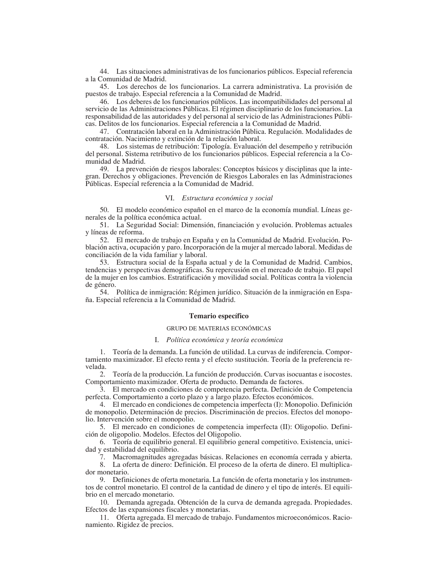44. Las situaciones administrativas de los funcionarios públicos. Especial referencia a la Comunidad de Madrid.

45. Los derechos de los funcionarios. La carrera administrativa. La provisión de puestos de trabajo. Especial referencia a la Comunidad de Madrid.

 $-46$ . Los deberes de los funcionarios públicos. Las incompatibilidades del personal al  $S$ auvicio de las Administraciones Públicas. El régimen disciplinario de los funcionarios. La responsabilidad de las autoridades y del personal al servicio de las Administraciones Públicas. Delitos de los funcionarios. Especial referencia a la Comunidad de Madrid.

47. Contratación laboral en la Administración Pública. Regulación. Modalidades de contratación. Nacimiento y extinción de la relación laboral.

 $-48$ . Los sistemas de retribución: Tipología. Evaluación del desempeño y retribución del personal. Sistema retributivo de los funcionarios públicos. Especial referencia a la Comunidad de Madrid.

49. La prevención de riesgos laborales: Conceptos básicos y disciplinas que la integran. Derechos y obligaciones. Prevención de Riesgos Laborales en las Administraciones Públicas. Especial referencia a la Comunidad de Madrid.

#### VI. Estructura económica y social

50. El modelo económico español en el marco de la economía mundial. Líneas generales de la política económica actual.

51. La Seguridad Social: Dimensión, financiación y evolución. Problemas actuales y líneas de reforma.

52. El mercado de trabajo en España y en la Comunidad de Madrid. Evolución. Población activa, ocupación y paro. Incorporación de la mujer al mercado laboral. Medidas de conciliación de la vida familiar y laboral.

53. Estructura social de la España actual y de la Comunidad de Madrid. Cambios, tendencias y perspectivas demográficas. Su repercusión en el mercado de trabajo. El papel de la mujer en los cambios. Estratificación y movilidad social. Políticas contra la violencia de género.

54. Política de inmigración: Régimen jurídico. Situación de la inmigración en España. Especial referencia a la Comunidad de Madrid.

#### Temario específico

## GRUPO DE MATERIAS ECONÓMICAS

#### I. Política económica y teoría económica

1. Teoría de la demanda. La función de utilidad. La curvas de indiferencia. Comportamiento maximizador. El efecto renta y el efecto sustitución. Teoría de la preferencia revelada.

2. Teoría de la producción. La función de producción. Curvas isocuantas e isocostes. Comportamiento maximizador. Oferta de producto. Demanda de factores.

3. El mercado en condiciones de competencia perfecta. Definición de Competencia perfecta. Comportamiento a corto plazo y a largo plazo. Efectos económicos.

4. El mercado en condiciones de competencia imperfecta (I): Monopolio. Definición de monopolio. Determinación de precios. Discriminación de precios. Efectos del monopolio. Intervención sobre el monopolio.

5. El mercado en condiciones de competencia imperfecta (II): Oligopolio. Definición de oligopolio. Modelos. Efectos del Oligopolio.

6. Teoría de equilibrio general. El equilibrio general competitivo. Existencia, unicidad y estabilidad del equilibrio.

7. Macromagnitudes agregadas básicas. Relaciones en economía cerrada y abierta.

8. La oferta de dinero: Definición. El proceso de la oferta de dinero. El multiplicador monetario.

9. Definiciones de oferta monetaria. La función de oferta monetaria y los instrumentos de control monetario. El control de la cantidad de dinero y el tipo de interés. El equilibrio en el mercado monetario.

10. Demanda agregada. Obtención de la curva de demanda agregada. Propiedades. Efectos de las expansiones fiscales y monetarias.

11. Oferta agregada. El mercado de trabajo. Fundamentos microeconómicos. Racionamiento. Rigidez de precios.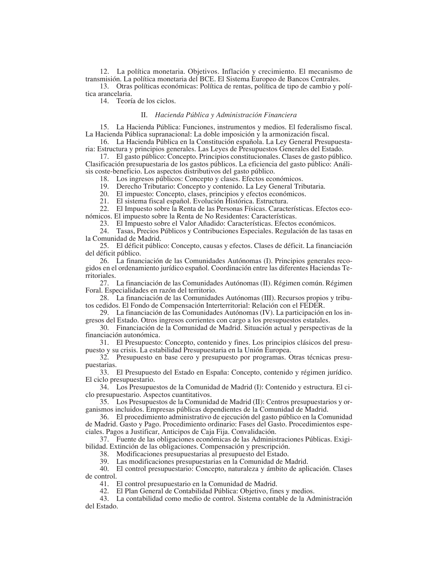12. La política monetaria. Objetivos. Inflación y crecimiento. El mecanismo de transmisión. La política monetaria del BCE. El Sistema Europeo de Bancos Centrales.

13. Otras políticas económicas: Política de rentas, política de tipo de cambio y política arancelaria.

14. Teoría de los ciclos.

# II. Hacienda Pública y Administración Financiera

15. La Hacienda Pública: Funciones, instrumentos y medios. El federalismo fiscal. La Hacienda Pública supranacional: La doble imposición y la armonización fiscal.

16. La Hacienda Pública en la Constitución española. La Ley General Presupuestaria: Estructura y principios generales. Las Leyes de Presupuestos Generales del Estado.

17. El gasto público: Concepto. Principios constitucionales. Clases de gasto público. Clasificación presupuestaria de los gastos públicos. La eficiencia del gasto público: Análisis coste-beneficio. Los aspectos distributivos del gasto público.

18. Los ingresos públicos: Concepto y clases. Efectos económicos.

19. Derecho Tributario: Concepto y contenido. La Ley General Tributaria.

20. El impuesto: Concepto, clases, principios y efectos económicos.

21. El sistema fiscal español. Evolución Histórica. Estructura.

22. El Impuesto sobre la Renta de las Personas Físicas. Características. Efectos eco-

nómicos. El impuesto sobre la Renta de No Residentes: Características.

23. El Impuesto sobre el Valor Añadido: Características. Efectos económicos.

24. Tasas, Precios Públicos y Contribuciones Especiales. Regulación de las tasas en la Comunidad de Madrid.

25. El déficit público: Concepto, causas y efectos. Clases de déficit. La financiación del déficit público.

26. La financiación de las Comunidades Autónomas (I). Principios generales recogidos en el ordenamiento jurídico español. Coordinación entre las diferentes Haciendas Territoriales.

27. La financiación de las Comunidades Autónomas (II). Régimen común. Régimen Foral. Especialidades en razón del territorio.

28. La financiación de las Comunidades Autónomas (III). Recursos propios y tributos cedidos. El Fondo de Compensación Interterritorial: Relación con el FEDER.

29. La financiación de las Comunidades Autónomas (IV). La participación en los ingresos del Estado. Otros ingresos corrientes con cargo a los presupuestos estatales.

30. Financiación de la Comunidad de Madrid. Situación actual y perspectivas de la financiación autonómica.

31. El Presupuesto: Concepto, contenido y fines. Los principios clásicos del presupuesto y su crisis. La estabilidad Presupuestaria en la Unión Europea.

32. Presupuesto en base cero y presupuesto por programas. Otras técnicas presupuestarias.

33. El Presupuesto del Estado en España: Concepto, contenido y régimen jurídico. El ciclo presupuestario.

34. Los Presupuestos de la Comunidad de Madrid (I): Contenido y estructura. El ciclo presupuestario. Aspectos cuantitativos.

35. Los Presupuestos de la Comunidad de Madrid (II): Centros presupuestarios y organismos incluidos. Empresas públicas dependientes de la Comunidad de Madrid.

36. El procedimiento administrativo de ejecución del gasto público en la Comunidad de Madrid. Gasto y Pago. Procedimiento ordinario: Fases del Gasto. Procedimientos especiales. Pagos a Justificar, Anticipos de Caja Fija. Convalidación.

37. Fuente de las obligaciones económicas de las Administraciones Públicas. Exigibilidad. Extinción de las obligaciones. Compensación y prescripción.

38. Modificaciones presupuestarias al presupuesto del Estado.

39. Las modificaciones presupuestarias en la Comunidad de Madrid.

40. El control presupuestario: Concepto, naturaleza y ámbito de aplicación. Clases de control.

41. El control presupuestario en la Comunidad de Madrid.

42. El Plan General de Contabilidad Pública: Objetivo, fines y medios.

43. La contabilidad como medio de control. Sistema contable de la Administración del Estado.